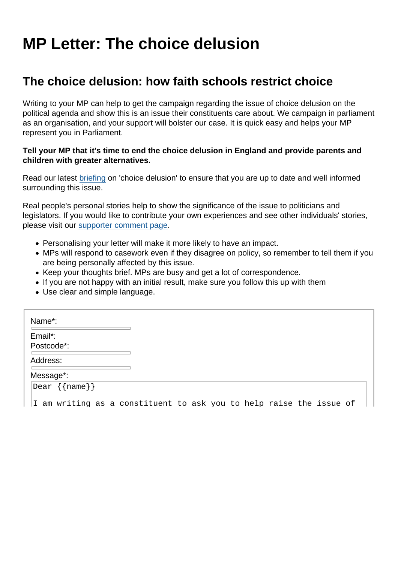## MP Letter: The choice delusion

## The choice delusion: how faith schools restrict choice

Writing to your MP can help to get the campaign regarding the issue of choice delusion on the political agenda and show this is an issue their constituents care about. We campaign in parliament as an organisation, and your support will bolster our case. It is quick easy and helps your MP represent you in Parliament.

Tell your MP that it's time to end the choice delusion in England and provide parents and children with greater alternatives.

Read our latest [briefing](https://www.secularism.org.uk/uploads/the-choice-delusion-2021-(local-authority-scorecard)-briefing.pdf) on 'choice delusion' to ensure that you are up to date and well informed surrounding this issue.

Real people's personal stories help to show the significance of the issue to politicians and legislators. If you would like to contribute your own experiences and see other individuals' stories, please visit our [supporter comment page.](https://www.secularism.org.uk/faith-schools/choice-delusion-comments.html)

- Personalising your letter will make it more likely to have an impact.
- MPs will respond to casework even if they disagree on policy, so remember to tell them if you are being personally affected by this issue.
- Keep your thoughts brief. MPs are busy and get a lot of correspondence.
- If you are not happy with an initial result, make sure you follow this up with them
- Use clear and simple language.

| Name*:        |                                                                     |
|---------------|---------------------------------------------------------------------|
| Email*:       |                                                                     |
| Postcode*:    |                                                                     |
| Address:      |                                                                     |
| Message*:     |                                                                     |
| Dear {{name}} |                                                                     |
|               | I am writing as a constituent to ask you to help raise the issue of |